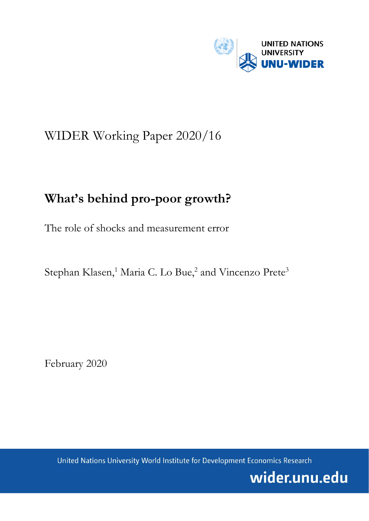

# WIDER Working Paper 2020/16

## **What's behind pro-poor growth?**

The role of shocks and measurement error

Stephan Klasen,<sup>1</sup> Maria C. Lo Bue,<sup>2</sup> and Vincenzo Prete<sup>3</sup>

February 2020

United Nations University World Institute for Development Economics Research

wider.unu.edu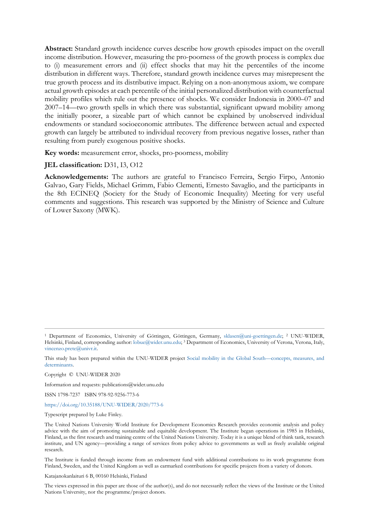**Abstract:** Standard growth incidence curves describe how growth episodes impact on the overall income distribution. However, measuring the pro-poorness of the growth process is complex due to (i) measurement errors and (ii) effect shocks that may hit the percentiles of the income distribution in different ways. Therefore, standard growth incidence curves may misrepresent the true growth process and its distributive impact. Relying on a non-anonymous axiom, we compare actual growth episodes at each percentile of the initial personalized distribution with counterfactual mobility profiles which rule out the presence of shocks. We consider Indonesia in 2000–07 and 2007–14—two growth spells in which there was substantial, significant upward mobility among the initially poorer, a sizeable part of which cannot be explained by unobserved individual endowments or standard socioeconomic attributes. The difference between actual and expected growth can largely be attributed to individual recovery from previous negative losses, rather than resulting from purely exogenous positive shocks.

**Key words:** measurement error, shocks, pro-poorness, mobility

#### **JEL classification:** D31, I3, O12

**Acknowledgements:** The authors are grateful to Francisco Ferreira, Sergio Firpo, Antonio Galvao, Gary Fields, Michael Grimm, Fabio Clementi, Ernesto Savaglio, and the participants in the 8th ECINEQ (Society for the Study of Economic Inequality) Meeting for very useful comments and suggestions. This research was supported by the Ministry of Science and Culture of Lower Saxony (MWK).

Copyright © UNU-WIDER 2020

Information and requests: publications@wider.unu.edu

ISSN 1798-7237 ISBN 978-92-9256-773-6

<https://doi.org/10.35188/UNU-WIDER/2020/773-6>

Typescript prepared by Luke Finley.

The Institute is funded through income from an endowment fund with additional contributions to its work programme from Finland, Sweden, and the United Kingdom as well as earmarked contributions for specific projects from a variety of donors.

Katajanokanlaituri 6 B, 00160 Helsinki, Finland

The views expressed in this paper are those of the author(s), and do not necessarily reflect the views of the Institute or the United Nations University, nor the programme/project donors.

<sup>1</sup> Department of Economics, University of Göttingen, Göttingen, Germany, [sklasen@uni-goettingen.de;](mailto:sklasen@uni-goettingen.de) 2 UNU-WIDER, Helsinki, Finland, corresponding author: [lobue@wider.unu.edu;](mailto:lobue@wider.unu.edu) 3 Department of Economics, University of Verona, Verona, Italy, [vincenzo.prete@univr.it.](mailto:vincenzo.prete@univr.it)

This study has been prepared within the UNU-WIDER project [Social mobility in the Global South—concepts, measures, and](https://www.wider.unu.edu/node/187591)  [determinants.](https://www.wider.unu.edu/node/187591)

The United Nations University World Institute for Development Economics Research provides economic analysis and policy advice with the aim of promoting sustainable and equitable development. The Institute began operations in 1985 in Helsinki, Finland, as the first research and training centre of the United Nations University. Today it is a unique blend of think tank, research institute, and UN agency—providing a range of services from policy advice to governments as well as freely available original research.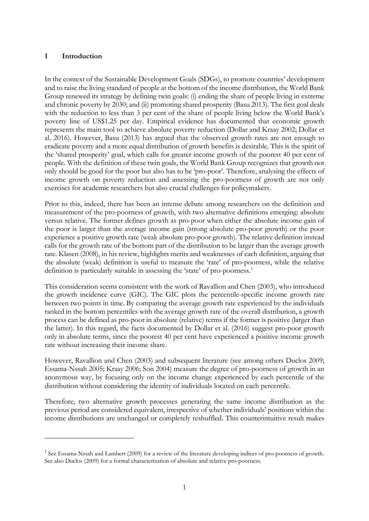## **1 Introduction**

In the context of the Sustainable Development Goals (SDGs), to promote countries' development and to raise the living standard of people at the bottom of the income distribution, the World Bank Group renewed its strategy by defining twin goals: (i) ending the share of people living in extreme and chronic poverty by 2030; and (ii) promoting shared prosperity (Basu 2013). The first goal deals with the reduction to less than 3 per cent of the share of people living below the World Bank's poverty line of US\$1.25 per day. Empirical evidence has documented that economic growth represents the main tool to achieve absolute poverty reduction (Dollar and Kraay 2002; Dollar et al. 2016). However, Basu (2013) has argued that the observed growth rates are not enough to eradicate poverty and a more equal distribution of growth benefits is desirable. This is the spirit of the 'shared prosperity' goal, which calls for greater income growth of the poorest 40 per cent of people. With the definition of these twin goals, the World Bank Group recognizes that growth not only should be good for the poor but also has to be 'pro-poor'. Therefore, analysing the effects of income growth on poverty reduction and assessing the pro-poorness of growth are not only exercises for academic researchers but also crucial challenges for policymakers.

Prior to this, indeed, there has been an intense debate among researchers on the definition and measurement of the pro-poorness of growth, with two alternative definitions emerging: absolute versus relative. The former defines growth as pro-poor when either the absolute income gain of the poor is larger than the average income gain (strong absolute pro-poor growth) or the poor experience a positive growth rate (weak absolute pro-poor growth). The relative definition instead calls for the growth rate of the bottom part of the distribution to be larger than the average growth rate. Klasen (2008), in his review, highlights merits and weaknesses of each definition, arguing that the absolute (weak) definition is useful to measure the 'rate' of pro-poorness, while the relative definition is particularly suitable in assessing the 'state' of pro-poorness. [1](#page-2-0)

This consideration seems consistent with the work of Ravallion and Chen (2003), who introduced the growth incidence curve (GIC). The GIC plots the percentile-specific income growth rate between two points in time. By comparing the average growth rate experienced by the individuals ranked in the bottom percentiles with the average growth rate of the overall distribution, a growth process can be defined as pro-poor in absolute (relative) terms if the former is positive (larger than the latter). In this regard, the facts documented by Dollar et al. (2016) suggest pro-poor growth only in absolute terms, since the poorest 40 per cent have experienced a positive income growth rate without increasing their income share.

However, Ravallion and Chen (2003) and subsequent literature (see among others Duclos 2009; Essama-Nssah 2005; Kraay 2006; Son 2004) measure the degree of pro-poorness of growth in an anonymous way, by focusing only on the income change experienced by each percentile of the distribution without considering the identity of individuals located on each percentile.

Therefore, two alternative growth processes generating the same income distribution as the previous period are considered equivalent, irrespective of whether individuals' positions within the income distributions are unchanged or completely reshuffled. This counterintuitive result makes

<span id="page-2-0"></span><sup>&</sup>lt;sup>1</sup> See Essama-Nssah and Lambert (2009) for a review of the literature developing indices of pro-poorness of growth. See also Duclos (2009) for a formal characterization of absolute and relative pro-poorness.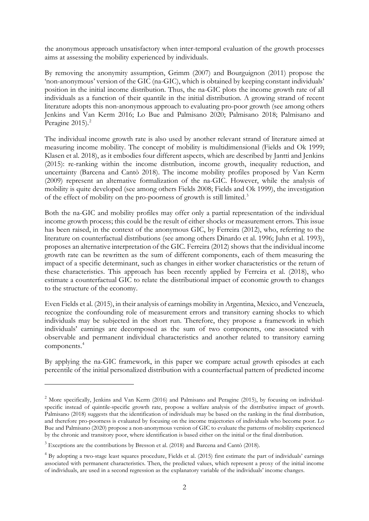the anonymous approach unsatisfactory when inter-temporal evaluation of the growth processes aims at assessing the mobility experienced by individuals.

By removing the anonymity assumption, Grimm (2007) and Bourguignon (2011) propose the 'non-anonymous' version of the GIC (na-GIC), which is obtained by keeping constant individuals' position in the initial income distribution. Thus, the na-GIC plots the income growth rate of all individuals as a function of their quantile in the initial distribution. A growing strand of recent literature adopts this non-anonymous approach to evaluating pro-poor growth (see among others Jenkins and Van Kerm 2016; Lo Bue and Palmisano 2020; Palmisano 2018; Palmisano and Peragine [2](#page-3-0)015).<sup>2</sup>

The individual income growth rate is also used by another relevant strand of literature aimed at measuring income mobility. The concept of mobility is multidimensional (Fields and Ok 1999; Klasen et al. 2018), as it embodies four different aspects, which are described by Jantti and Jenkins (2015): re-ranking within the income distribution, income growth, inequality reduction, and uncertainty (Barcena and Cantò 2018). The income mobility profiles proposed by Van Kerm (2009) represent an alternative formalization of the na-GIC. However, while the analysis of mobility is quite developed (see among others Fields 2008; Fields and Ok 1999), the investigation of the effect of mobility on the pro-poorness of growth is still limited.<sup>[3](#page-3-1)</sup>

Both the na-GIC and mobility profiles may offer only a partial representation of the individual income growth process; this could be the result of either shocks or measurement errors. This issue has been raised, in the context of the anonymous GIC, by Ferreira (2012), who, referring to the literature on counterfactual distributions (see among others Dinardo et al. 1996; Juhn et al. 1993), proposes an alternative interpretation of the GIC. Ferreira (2012) shows that the individual income growth rate can be rewritten as the sum of different components, each of them measuring the impact of a specific determinant, such as changes in either worker characteristics or the return of these characteristics. This approach has been recently applied by Ferreira et al. (2018), who estimate a counterfactual GIC to relate the distributional impact of economic growth to changes to the structure of the economy.

Even Fields et al. (2015), in their analysis of earnings mobility in Argentina, Mexico, and Venezuela, recognize the confounding role of measurement errors and transitory earning shocks to which individuals may be subjected in the short run. Therefore, they propose a framework in which individuals' earnings are decomposed as the sum of two components, one associated with observable and permanent individual characteristics and another related to transitory earning components. [4](#page-3-2)

By applying the na-GIC framework, in this paper we compare actual growth episodes at each percentile of the initial personalized distribution with a counterfactual pattern of predicted income

<span id="page-3-0"></span><sup>&</sup>lt;sup>2</sup> More specifically, Jenkins and Van Kerm (2016) and Palmisano and Peragine (2015), by focusing on individualspecific instead of quintile-specific growth rate, propose a welfare analysis of the distributive impact of growth. Palmisano (2018) suggests that the identification of individuals may be based on the ranking in the final distribution, and therefore pro-poorness is evaluated by focusing on the income trajectories of individuals who become poor. Lo Bue and Palmisano (2020) propose a non-anonymous version of GIC to evaluate the patterns of mobility experienced by the chronic and transitory poor, where identification is based either on the initial or the final distribution.

<span id="page-3-1"></span><sup>3</sup> Exceptions are the contributions by Bresson et al. (2018) and Barcena and Cantò (2018).

<span id="page-3-2"></span><sup>&</sup>lt;sup>4</sup> By adopting a two-stage least squares procedure, Fields et al. (2015) first estimate the part of individuals' earnings associated with permanent characteristics. Then, the predicted values, which represent a proxy of the initial income of individuals, are used in a second regression as the explanatory variable of the individuals' income changes.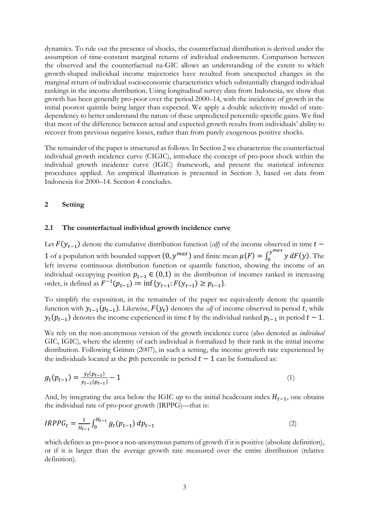dynamics. To rule out the presence of shocks, the counterfactual distribution is derived under the assumption of time-constant marginal returns of individual endowments. Comparison between the observed and the counterfactual na-GIC allows an understanding of the extent to which growth-shaped individual income trajectories have resulted from unexpected changes in the marginal return of individual socioeconomic characteristics which substantially changed individual rankings in the income distribution. Using longitudinal survey data from Indonesia, we show that growth has been generally pro-poor over the period 2000–14, with the incidence of growth in the initial poorest quintile being larger than expected. We apply a double selectivity model of statedependency to better understand the nature of these unpredicted percentile-specific gains. We find that most of the difference between actual and expected growth results from individuals' ability to recover from previous negative losses, rather than from purely exogenous positive shocks.

The remainder of the paper is structured as follows. In Section 2 we characterize the counterfactual individual growth incidence curve (CIGIC), introduce the concept of pro-poor shock within the individual growth incidence curve (IGIC) framework, and present the statistical inference procedures applied. An empirical illustration is presented in Section 3, based on data from Indonesia for 2000–14. Section 4 concludes.

## **2 Setting**

#### **2.1 The counterfactual individual growth incidence curve**

Let  $F(y_{t-1})$  denote the cumulative distribution function (*cdf*) of the income observed in time  $t -$ 1 of a population with bounded support  $(0, y^{max})$  and finite mean  $\mu(F) = \int_0^{y^{max}} y dF(y)$ . The left inverse continuous distribution function or quantile function, showing the income of an individual occupying position  $p_{t-1} \in (0,1)$  in the distribution of incomes ranked in increasing order, is defined as  $F^{-1}(p_{t-1}) \coloneqq \inf \{y_{t-1}: F(y_{t-1}) \geq p_{t-1}\}.$ 

To simplify the exposition, in the remainder of the paper we equivalently denote the quantile function with  $y_{t-1}(p_{t-1})$ . Likewise,  $F(y_t)$  denotes the *cdf* of income observed in period t, while  $y_t(p_{t-1})$  denotes the income experienced in time t by the individual ranked  $p_{t-1}$  in period  $t-1$ .

We rely on the non-anonymous version of the growth incidence curve (also denoted as *individual* GIC, IGIC), where the identity of each individual is formalized by their rank in the initial income distribution. Following Grimm (2007), in such a setting, the income growth rate experienced by the individuals located at the pth percentile in period  $t - 1$  can be formalized as:

$$
g_t(p_{t-1}) = \frac{y_t(p_{t-1})}{y_{t-1}(p_{t-1})} - 1
$$
\n(1)

And, by integrating the area below the IGIC up to the initial headcount index  $H_{t-1}$ , one obtains the individual rate of pro-poor growth (IRPPG)—that is:

$$
IRPPG_t = \frac{1}{H_{t-1}} \int_0^{H_{t-1}} g_t(p_{t-1}) \, dp_{t-1} \tag{2}
$$

which defines as pro-poor a non-anonymous pattern of growth if it is positive (absolute definition), or if it is larger than the average growth rate measured over the entire distribution (relative definition).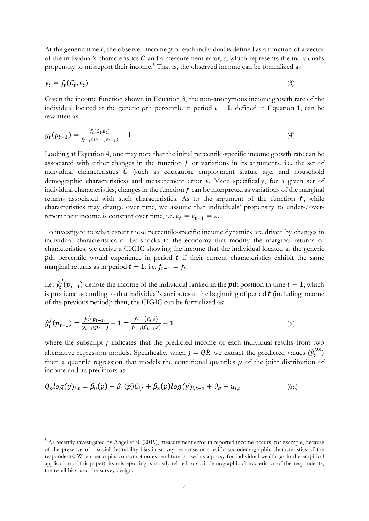At the generic time  $t$ , the observed income  $\gamma$  of each individual is defined as a function of a vector of the individual's characteristics  $C$  and a measurement error,  $\varepsilon$ , which represents the individual's propensity to misreport their income. [5](#page-5-0) That is, the observed income can be formalized as

$$
y_t = f_t(C_t, \varepsilon_t) \tag{3}
$$

Given the income function shown in Equation 3, the non-anonymous income growth rate of the individual located at the generic pth percentile in period  $t - 1$ , defined in Equation 1, can be rewritten as:

$$
g_t(p_{t-1}) = \frac{f_t(C_t, \varepsilon_t)}{f_{t-1}(C_{t-1}, \varepsilon_{t-1})} - 1
$$
\n(4)

Looking at Equation 4, one may note that the initial percentile-specific income growth rate can be associated with either changes in the function  $f$  or variations in its arguments, i.e. the set of individual characteristics  $C$  (such as education, employment status, age, and household demographic characteristics) and measurement error  $\varepsilon$ . More specifically, for a given set of individual characteristics, changes in the function  $f$  can be interpreted as variations of the marginal returns associated with such characteristics. As to the argument of the function  $f$ , while characteristics may change over time, we assume that individuals' propensity to under-/overreport their income is constant over time, i.e.  $\varepsilon_t = \varepsilon_{t-1} = \varepsilon$ .

To investigate to what extent these percentile-specific income dynamics are driven by changes in individual characteristics or by shocks in the economy that modify the marginal returns of characteristics, we derive a CIGIC showing the income that the individual located at the generic pth percentile would experience in period  $t$  if their current characteristics exhibit the same marginal returns as in period  $t - 1$ , i.e.  $f_{t-1} = f_t$ .

Let  $\hat{y}_t^j(p_{t-1})$  denote the income of the individual ranked in the pth position in time  $t-1$ , which is predicted according to that individual's attributes at the beginning of period  $t$  (including income of the previous period); then, the CIGIC can be formalized as:

$$
\hat{g}_t^j(p_{t-1}) = \frac{\hat{y}_t^j(p_{t-1})}{y_{t-1}(p_{t-1})} - 1 = \frac{f_{t-1}(C_{t,\varepsilon})}{f_{t-1}(C_{t-1,\varepsilon})} - 1
$$
\n<sup>(5)</sup>

where the subscript  $j$  indicates that the predicted income of each individual results from two alternative regression models. Specifically, when  $j = QR$  we extract the predicted values  $(\hat{y}_t^{QR})$ from a quantile regression that models the conditional quantiles  $p$  of the joint distribution of income and its predictors as:

$$
Q_p \log(y)_{i,t} = \beta_0(p) + \beta_1(p)C_{i,t} + \beta_2(p) \log(y)_{i,t-1} + \vartheta_d + u_{i,t}
$$
(6a)

<span id="page-5-0"></span><sup>&</sup>lt;sup>5</sup> As recently investigated by Angel et al. (2019), measurement error in reported income occurs, for example, because of the presence of a social desirability bias in survey response or specific sociodemographic characteristics of the respondents. When per capita consumption expenditure is used as a proxy for individual wealth (as in the empirical application of this paper), its misreporting is mostly related to sociodemographic characteristics of the respondents, the recall bias, and the survey design.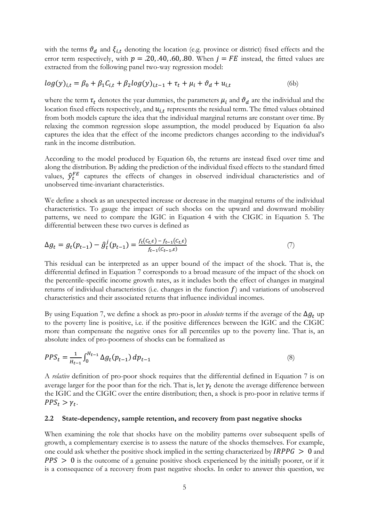with the terms  $\vartheta_d$  and  $\xi_{i,t}$  denoting the location (e.g. province or district) fixed effects and the error term respectively, with  $p = .20, .40, .60, .80$ . When  $j = FE$  instead, the fitted values are extracted from the following panel two-way regression model:

$$
log(y)_{i,t} = \beta_0 + \beta_1 C_{i,t} + \beta_2 log(y)_{i,t-1} + \tau_t + \mu_i + \vartheta_d + u_{i,t}
$$
 (6b)

where the term  $\tau_t$  denotes the year dummies, the parameters  $\mu_i$  and  $\vartheta_d$  are the individual and the location fixed effects respectively, and  $u_{i,t}$  represents the residual term. The fitted values obtained from both models capture the idea that the individual marginal returns are constant over time. By relaxing the common regression slope assumption, the model produced by Equation 6a also captures the idea that the effect of the income predictors changes according to the individual's rank in the income distribution.

According to the model produced by Equation 6b, the returns are instead fixed over time and along the distribution. By adding the prediction of the individual fixed effects to the standard fitted values,  $\hat{y}^{FE}_t$  captures the effects of changes in observed individual characteristics and of unobserved time-invariant characteristics.

We define a shock as an unexpected increase or decrease in the marginal returns of the individual characteristics. To gauge the impact of such shocks on the upward and downward mobility patterns, we need to compare the IGIC in Equation 4 with the CIGIC in Equation 5. The differential between these two curves is defined as

$$
\Delta g_t = g_t(p_{t-1}) - \hat{g}_t^j(p_{t-1}) = \frac{f_t(c_{t,\varepsilon}) - f_{t-1}(c_{t,\varepsilon})}{f_{t-1}(c_{t-1,\varepsilon})}
$$
(7)

This residual can be interpreted as an upper bound of the impact of the shock. That is, the differential defined in Equation 7 corresponds to a broad measure of the impact of the shock on the percentile-specific income growth rates, as it includes both the effect of changes in marginal returns of individual characteristics (i.e. changes in the function  $f$ ) and variations of unobserved characteristics and their associated returns that influence individual incomes.

By using Equation 7, we define a shock as pro-poor in *absolute* terms if the average of the  $\Delta g_t$  up to the poverty line is positive, i.e. if the positive differences between the IGIC and the CIGIC more than compensate the negative ones for all percentiles up to the poverty line. That is, an absolute index of pro-poorness of shocks can be formalized as

$$
PPS_t = \frac{1}{H_{t-1}} \int_0^{H_{t-1}} \Delta g_t(p_{t-1}) \, dp_{t-1} \tag{8}
$$

A *relative* definition of pro-poor shock requires that the differential defined in Equation 7 is on average larger for the poor than for the rich. That is, let  $\gamma_t$  denote the average difference between the IGIC and the CIGIC over the entire distribution; then, a shock is pro-poor in relative terms if  $PPS_t > \gamma_t$ .

#### **2.2 State-dependency, sample retention, and recovery from past negative shocks**

When examining the role that shocks have on the mobility patterns over subsequent spells of growth, a complementary exercise is to assess the nature of the shocks themselves. For example, one could ask whether the positive shock implied in the setting characterized by  $IRPPG > 0$  and  $PPS > 0$  is the outcome of a genuine positive shock experienced by the initially poorer, or if it is a consequence of a recovery from past negative shocks. In order to answer this question, we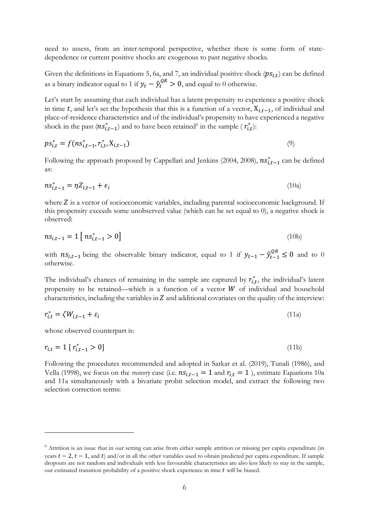need to assess, from an inter-temporal perspective, whether there is some form of statedependence or current positive shocks are exogenous to past negative shocks.

Given the definitions in Equations 5, 6a, and 7, an individual positive shock  $(ps_{i,t})$  can be defined as a binary indicator equal to 1 if  $y_t - \hat{y}_t^{QR} > 0$ , and equal to 0 otherwise.

Let's start by assuming that each individual has a latent propensity to experience a positive shock in time t, and let's set the hypothesis that this is a function of a vector,  $X_{i,t-1}$ , of individual and place-of-residence characteristics and of the individual's propensity to have experienced a negative shock in the past  $(ns_{i,t-1}^*)$  and to have been retained<sup>[6](#page-7-0)</sup> in the sample ( $r_{i,t}^*$ ):

$$
ps_{i,t}^* = f(ns_{i,t-1}^*, r_{i,t}^*, X_{i,t-1})
$$
\n(9)

Following the approach proposed by Cappellari and Jenkins (2004, 2008),  $ns_{i,t-1}^{*}$  can be defined as:

$$
n s_{i,t-1}^* = \eta Z_{i,t-1} + \epsilon_i \tag{10a}
$$

where  $Z$  is a vector of socioeconomic variables, including parental socioeconomic background. If this propensity exceeds some unobserved value (which can be set equal to 0), a negative shock is observed:

$$
ns_{i,t-1} = 1 [ns_{i,t-1}^* > 0]
$$
\n(10b)

with  $n s_{i,t-1}$  being the observable binary indicator, equal to 1 if  $y_{t-1} - \hat{y}_{t-1}^{QR} \le 0$  and to 0 otherwise.

The individual's chances of remaining in the sample are captured by  $r_{i,t}^*$ , the individual's latent propensity to be retained—which is a function of a vector  $W$  of individual and household characteristics, including the variables in  $Z$  and additional covariates on the quality of the interview:

$$
r_{i,t}^* = \zeta W_{i,t-1} + \varepsilon_i \tag{11a}
$$

whose observed counterpart is:

$$
r_{i,t} = 1 [r_{i,t-1}^* > 0]
$$
 (11b)

Following the procedures recommended and adopted in Sarkar et al. (2019), Tunali (1986), and Vella (1998), we focus on the *recovery* case (i.e.  $n s_{i,t-1} = 1$  and  $r_{i,t} = 1$ ), estimate Equations 10a and 11a simultaneously with a bivariate probit selection model, and extract the following two selection correction terms:

<span id="page-7-0"></span><sup>&</sup>lt;sup>6</sup> Attrition is an issue that in our setting can arise from either sample attrition or missing per capita expenditure (in years  $t - 2$ ,  $t - 1$ , and t) and/or in all the other variables used to obtain predicted per capita expenditure. If sample dropouts are not random and individuals with less favourable characteristics are also less likely to stay in the sample, our estimated transition probability of a positive shock experience in time  $t$  will be biased.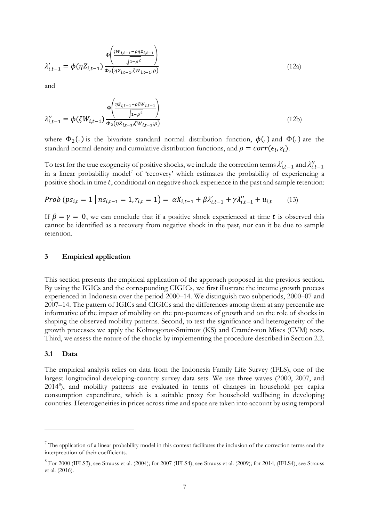$$
\lambda'_{i,t-1} = \phi(\eta Z_{i,t-1}) \frac{\Phi\left(\frac{\zeta W_{i,t-1} - \rho \eta Z_{i,t-1}}{\sqrt{1-\rho^2}}\right)}{\Phi_2(\eta Z_{i,t-1}, \zeta W_{i,t-1}; \rho)}
$$
(12a)

and

$$
\lambda_{i,t-1}'' = \phi(\zeta W_{i,t-1}) \frac{\Phi\left(\frac{\eta z_{i,t-1} - \rho \zeta W_{i,t-1}}{\sqrt{1-\rho^2}}\right)}{\Phi_2(\eta z_{i,t-1}, \zeta W_{i,t-1}; \rho)}
$$
(12b)

where  $\Phi_2(.)$  is the bivariate standard normal distribution function,  $\phi(.)$  and  $\Phi(.)$  are the standard normal density and cumulative distribution functions, and  $\rho = corr(\epsilon_i, \epsilon_i)$ .

To test for the true exogeneity of positive shocks, we include the correction terms  $\lambda'_{i,t-1}$  and  $\lambda''_{i,t-1}$ in a linear probability model<sup>[7](#page-8-0)</sup> of 'recovery' which estimates the probability of experiencing a positive shock in time  $t$ , conditional on negative shock experience in the past and sample retention:

*Prob* (
$$
ps_{i,t} = 1 | ns_{i,t-1} = 1, r_{i,t} = 1
$$
) =  $\alpha X_{i,t-1} + \beta X'_{i,t-1} + \gamma X''_{i,t-1} + u_{i,t}$  (13)

If  $\beta = \gamma = 0$ , we can conclude that if a positive shock experienced at time t is observed this cannot be identified as a recovery from negative shock in the past, nor can it be due to sample retention.

## **3 Empirical application**

This section presents the empirical application of the approach proposed in the previous section. By using the IGICs and the corresponding CIGICs, we first illustrate the income growth process experienced in Indonesia over the period 2000–14. We distinguish two subperiods, 2000–07 and 2007–14. The pattern of IGICs and CIGICs and the differences among them at any percentile are informative of the impact of mobility on the pro-poorness of growth and on the role of shocks in shaping the observed mobility patterns. Second, to test the significance and heterogeneity of the growth processes we apply the Kolmogorov-Smirnov (KS) and Cramér-von Mises (CVM) tests. Third, we assess the nature of the shocks by implementing the procedure described in Section 2.2.

#### **3.1 Data**

The empirical analysis relies on data from the Indonesia Family Life Survey (IFLS), one of the largest longitudinal developing-country survey data sets. We use three waves (2000, 2007, and 2014[8](#page-8-1) ), and mobility patterns are evaluated in terms of changes in household per capita consumption expenditure, which is a suitable proxy for household wellbeing in developing countries. Heterogeneities in prices across time and space are taken into account by using temporal

<span id="page-8-0"></span> $<sup>7</sup>$  The application of a linear probability model in this context facilitates the inclusion of the correction terms and the</sup> interpretation of their coefficients.

<span id="page-8-1"></span><sup>8</sup> For 2000 (IFLS3), see Strauss et al. (2004); for 2007 (IFLS4), see Strauss et al. (2009); for 2014, (IFLS4), see Strauss et al. (2016).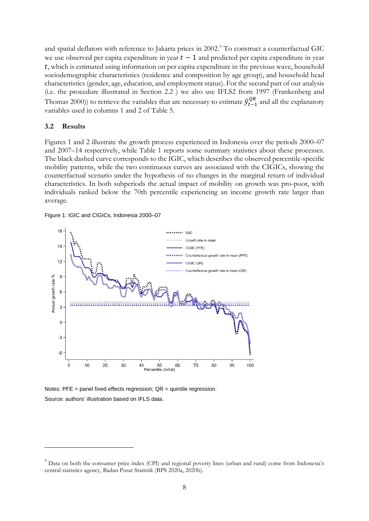and spatial deflators with reference to Jakarta prices in 2002.<sup>[9](#page-9-0)</sup> To construct a counterfactual GIC we use observed per capita expenditure in year  $t - 1$  and predicted per capita expenditure in year , which is estimated using information on per capita expenditure in the previous wave, household sociodemographic characteristics (residence and composition by age group), and household head characteristics (gender, age, education, and employment status). For the second part of our analysis (i.e. the procedure illustrated in Section 2.2 ) we also use IFLS2 from 1997 (Frankenberg and Thomas 2000)) to retrieve the variables that are necessary to estimate  $\hat{\mathbf{y}}_{t-1}^{QR}$  and all the explanatory variables used in columns 1 and 2 of Table 5.

## **3.2 Results**

Figures 1 and 2 illustrate the growth process experienced in Indonesia over the periods 2000–07 and 2007–14 respectively, while Table 1 reports some summary statistics about these processes. The black dashed curve corresponds to the IGIC, which describes the observed percentile-specific mobility patterns, while the two continuous curves are associated with the CIGICs, showing the counterfactual scenario under the hypothesis of no changes in the marginal return of individual characteristics. In both subperiods the actual impact of mobility on growth was pro-poor, with individuals ranked below the 70th percentile experiencing an income growth rate larger than average.





Notes:  $PFE = panel$  fixed effects regression;  $QR =$  quintile regression. Source: authors' illustration based on IFLS data.

<span id="page-9-0"></span><sup>&</sup>lt;sup>9</sup> Data on both the consumer price index (CPI) and regional poverty lines (urban and rural) come from Indonesia's central statistics agency, Badan Pusat Statistik (BPS 2020a, 2020b).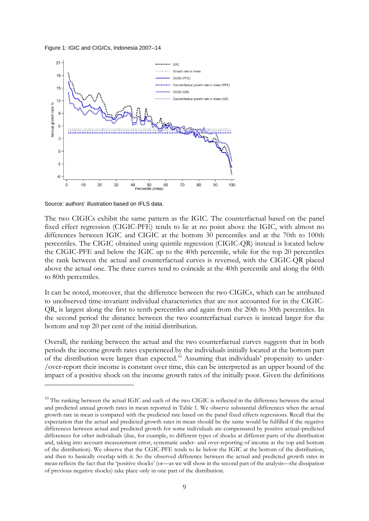Figure 1: IGIC and CIGICs, Indonesia 2007–14



Source: authors' illustration based on IFLS data.

The two CIGICs exhibit the same pattern as the IGIC. The counterfactual based on the panel fixed effect regression (CIGIC-PFE) tends to lie at no point above the IGIC, with almost no differences between IGIC and CIGIC at the bottom 30 percentiles and at the 70th to 100th percentiles. The CIGIC obtained using quintile regression (CIGIC-QR) instead is located below the CIGIC-PFE and below the IGIC up to the 40th percentile, while for the top 20 percentiles the rank between the actual and counterfactual curves is reversed, with the CIGIC-QR placed above the actual one. The three curves tend to coincide at the 40th percentile and along the 60th to 80th percentiles.

It can be noted, moreover, that the difference between the two CIGICs, which can be attributed to unobserved time-invariant individual characteristics that are not accounted for in the CIGIC-QR, is largest along the first to tenth percentiles and again from the 20th to 30th percentiles. In the second period the distance between the two counterfactual curves is instead larger for the bottom and top 20 per cent of the initial distribution.

Overall, the ranking between the actual and the two counterfactual curves suggests that in both periods the income growth rates experienced by the individuals initially located at the bottom part of the distribution were larger than expected.<sup>[10](#page-10-0)</sup> Assuming that individuals' propensity to under-/over-report their income is constant over time, this can be interpreted as an upper bound of the impact of a positive shock on the income growth rates of the initially poor. Given the definitions

<span id="page-10-0"></span> $10$  The ranking between the actual IGIC and each of the two CIGIC is reflected in the difference between the actual and predicted annual growth rates in mean reported in Table 1. We observe substantial differences when the actual growth rate in mean is compared with the predicted rate based on the panel fixed effects regressions. Recall that the expectation that the actual and predicted growth rates in mean should be the same would be fulfilled if the negative differences between actual and predicted growth for some individuals are compensated by positive actual–predicted differences for other individuals (due, for example, to different types of shocks at different parts of the distribution and, taking into account measurement error, systematic under- and over-reporting of income at the top and bottom of the distribution). We observe that the CGIC-PFE tends to lie below the IGIC at the bottom of the distribution, and then to basically overlap with it. So the observed difference between the actual and predicted growth rates in mean reflects the fact that the 'positive shocks' (or—as we will show in the second part of the analysis—the dissipation of previous negative shocks) take place only in one part of the distribution.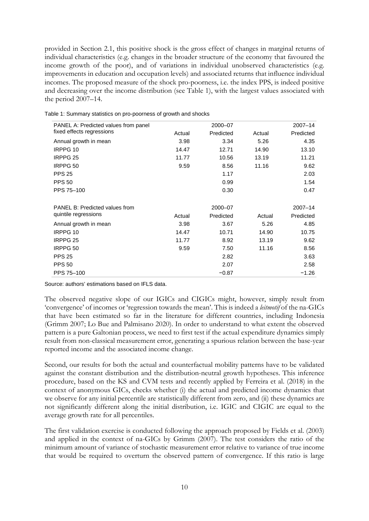provided in Section 2.1, this positive shock is the gross effect of changes in marginal returns of individual characteristics (e.g. changes in the broader structure of the economy that favoured the income growth of the poor), and of variations in individual unobserved characteristics (e.g. improvements in education and occupation levels) and associated returns that influence individual incomes. The proposed measure of the shock pro-poorness, i.e. the index PPS, is indeed positive and decreasing over the income distribution (see Table 1), with the largest values associated with the period 2007–14.

| PANEL A: Predicted values from panel  |        | 2000-07   |        | $2007 - 14$ |
|---------------------------------------|--------|-----------|--------|-------------|
| fixed effects regressions             | Actual | Predicted | Actual | Predicted   |
| Annual growth in mean                 | 3.98   | 3.34      | 5.26   | 4.35        |
| IRPPG 10                              | 14.47  | 12.71     | 14.90  | 13.10       |
| IRPPG 25                              | 11.77  | 10.56     | 13.19  | 11.21       |
| IRPPG 50                              | 9.59   | 8.56      | 11.16  | 9.62        |
| <b>PPS 25</b>                         |        | 1.17      |        | 2.03        |
| <b>PPS 50</b>                         |        | 0.99      |        | 1.54        |
| PPS 75-100                            |        | 0.30      |        | 0.47        |
|                                       |        |           |        |             |
| <b>PANEL B: Predicted values from</b> |        | 2000-07   |        | $2007 - 14$ |
| quintile regressions                  | Actual | Predicted | Actual | Predicted   |
| Annual growth in mean                 | 3.98   | 3.67      | 5.26   | 4.85        |
| IRPPG 10                              | 14.47  | 10.71     | 14.90  | 10.75       |
| IRPPG <sub>25</sub>                   | 11.77  | 8.92      | 13.19  | 9.62        |
| IRPPG 50                              | 9.59   | 7.50      | 11.16  | 8.56        |
| <b>PPS 25</b>                         |        | 2.82      |        | 3.63        |
| <b>PPS 50</b>                         |        | 2.07      |        | 2.58        |
| PPS 75-100                            |        | $-0.87$   |        | $-1.26$     |

Table 1: Summary statistics on pro-poorness of growth and shocks

Source: authors' estimations based on IFLS data.

The observed negative slope of our IGICs and CIGICs might, however, simply result from 'convergence' of incomes or 'regression towards the mean'. This is indeed a *leitmotif* of the na-GICs that have been estimated so far in the literature for different countries, including Indonesia (Grimm 2007; Lo Bue and Palmisano 2020). In order to understand to what extent the observed pattern is a pure Galtonian process, we need to first test if the actual expenditure dynamics simply result from non-classical measurement error, generating a spurious relation between the base-year reported income and the associated income change.

Second, our results for both the actual and counterfactual mobility patterns have to be validated against the constant distribution and the distribution-neutral growth hypotheses. This inference procedure, based on the KS and CVM tests and recently applied by Ferreira et al. (2018) in the context of anonymous GICs, checks whether (i) the actual and predicted income dynamics that we observe for any initial percentile are statistically different from zero, and (ii) these dynamics are not significantly different along the initial distribution, i.e. IGIC and CIGIC are equal to the average growth rate for all percentiles.

The first validation exercise is conducted following the approach proposed by Fields et al. (2003) and applied in the context of na-GICs by Grimm (2007). The test considers the ratio of the minimum amount of variance of stochastic measurement error relative to variance of true income that would be required to overturn the observed pattern of convergence. If this ratio is large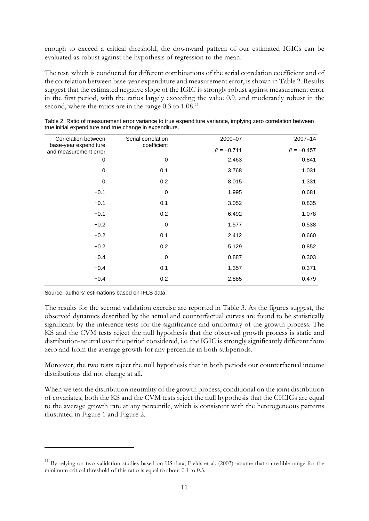enough to exceed a critical threshold, the downward pattern of our estimated IGICs can be evaluated as robust against the hypothesis of regression to the mean.

The test, which is conducted for different combinations of the serial correlation coefficient and of the correlation between base-year expenditure and measurement error, is shown in Table 2. Results suggest that the estimated negative slope of the IGIC is strongly robust against measurement error in the first period, with the ratios largely exceeding the value 0.9, and moderately robust in the second, where the ratios are in the range 0.3 to 1.08.<sup>[11](#page-12-0)</sup>

| Correlation between<br>base-year expenditure | Serial correlation<br>coefficient | 2000-07          | $2007 - 14$      |
|----------------------------------------------|-----------------------------------|------------------|------------------|
| and measurement error                        |                                   | $\beta$ = -0.711 | $\beta$ = -0.457 |
| 0                                            | 0                                 | 2.463            | 0.841            |
| 0                                            | 0.1                               | 3.768            | 1.031            |
| $\mathbf 0$                                  | 0.2                               | 8.015            | 1.331            |
| $-0.1$                                       | $\mathbf 0$                       | 1.995            | 0.681            |
| $-0.1$                                       | 0.1                               | 3.052            | 0.835            |
| $-0.1$                                       | 0.2                               | 6.492            | 1.078            |
| $-0.2$                                       | $\mathbf 0$                       | 1.577            | 0.538            |
| $-0.2$                                       | 0.1                               | 2.412            | 0.660            |
| $-0.2$                                       | 0.2                               | 5.129            | 0.852            |
| $-0.4$                                       | $\mathbf 0$                       | 0.887            | 0.303            |
| $-0.4$                                       | 0.1                               | 1.357            | 0.371            |
| $-0.4$                                       | 0.2                               | 2.885            | 0.479            |

Table 2: Ratio of measurement error variance to true expenditure variance, implying zero correlation between true initial expenditure and true change in expenditure.

Source: authors' estimations based on IFLS data.

The results for the second validation exercise are reported in Table 3. As the figures suggest, the observed dynamics described by the actual and counterfactual curves are found to be statistically significant by the inference tests for the significance and uniformity of the growth process. The KS and the CVM tests reject the null hypothesis that the observed growth process is static and distribution-neutral over the period considered, i.e. the IGIC is strongly significantly different from zero and from the average growth for any percentile in both subperiods.

Moreover, the two tests reject the null hypothesis that in both periods our counterfactual income distributions did not change at all.

When we test the distribution neutrality of the growth process, conditional on the joint distribution of covariates, both the KS and the CVM tests reject the null hypothesis that the CICIGs are equal to the average growth rate at any percentile, which is consistent with the heterogeneous patterns illustrated in Figure 1 and Figure 2.

<span id="page-12-0"></span> $11$  By relying on two validation studies based on US data, Fields et al. (2003) assume that a credible range for the minimum critical threshold of this ratio is equal to about 0.1 to 0.3.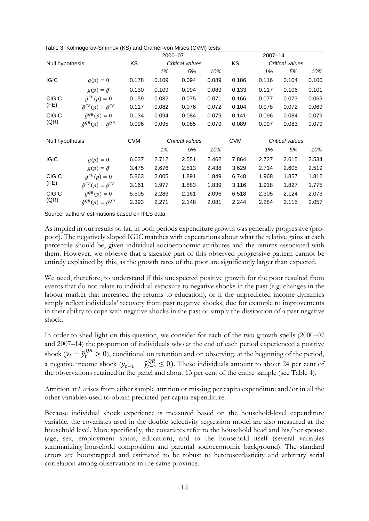|                 |                                  | 2000-07               |                 |       | $2007 - 14$ |                 |       |       |       |
|-----------------|----------------------------------|-----------------------|-----------------|-------|-------------|-----------------|-------|-------|-------|
| Null hypothesis |                                  | KS<br>Critical values |                 |       | ΚS          | Critical values |       |       |       |
|                 |                                  |                       | 1%              | 5%    | 10%         |                 | 1%    | 5%    | 10%   |
| <b>IGIC</b>     | $g(p) = 0$                       | 0.178                 | 0.109           | 0.094 | 0.089       | 0.186           | 0.116 | 0.104 | 0.100 |
|                 | $g(p) = \bar{g}$                 | 0.130                 | 0.109           | 0.094 | 0.089       | 0.133           | 0.117 | 0.106 | 0.101 |
| <b>CIGIC</b>    | $\hat{g}^{FE}(p) = 0$            | 0.159                 | 0.082           | 0.075 | 0.071       | 0.166           | 0.077 | 0.073 | 0.069 |
| (FE)            | $\hat{g}^{FE}(p) = \bar{g}^{FE}$ | 0.117                 | 0.082           | 0.076 | 0.072       | 0.104           | 0.078 | 0.072 | 0.069 |
| <b>CIGIC</b>    | $\hat{g}^{QR}(p) = 0$            | 0.134                 | 0.094           | 0.084 | 0.079       | 0.141           | 0.096 | 0.084 | 0.079 |
| (QR)            | $\hat{g}^{QR}(p) = \bar{g}^{QR}$ | 0.096                 | 0.095           | 0.085 | 0.079       | 0.089           | 0.097 | 0.083 | 0.079 |
| Null hypothesis |                                  | <b>CVM</b>            | Critical values |       | <b>CVM</b>  | Critical values |       |       |       |
|                 |                                  |                       | 1%              | 5%    | 10%         |                 | 1%    | 5%    | 10%   |
| <b>IGIC</b>     | $g(p) = 0$                       | 6.637                 | 2.712           | 2.551 | 2.462       | 7.864           | 2.727 | 2.615 | 2.534 |
|                 | $g(p) = \bar{g}$                 | 3.475                 | 2.676           | 2.513 | 2.438       | 3.629           | 2.714 | 2.605 | 2.519 |
| <b>CIGIC</b>    | $\hat{g}^{FE}(p) = 0$            | 5.863                 | 2.005           | 1.891 | 1.849       | 6.748           | 1.968 | 1.857 | 1.812 |
| (FE)            | $\hat{q}^{FE}(p) = \bar{q}^{FE}$ | 3.161                 | 1.977           | 1.883 | 1.839       | 3.116           | 1.918 | 1.827 | 1.775 |
| <b>CIGIC</b>    | $\hat{g}^{QR}(p) = 0$            | 5.505                 | 2.283           | 2.161 | 2.096       | 6.518           | 2.305 | 2.124 | 2.073 |
| (QR)            | $\hat{g}^{QR}(p) = \bar{g}^{QR}$ | 2.393                 | 2.271           | 2.148 | 2.081       | 2.244           | 2.284 | 2.115 | 2.057 |

Table 3: Kolmogorov-Smirnov (KS) and Cramér-von Mises (CVM) tests

Source: authors' estimations based on IFLS data.

As implied in our results so far, in both periods expenditure growth was generally progressive (propoor). The negatively sloped IGIC matches with expectations about what the relative gains at each percentile should be, given individual socioeconomic attributes and the returns associated with them. However, we observe that a sizeable part of this observed progressive pattern cannot be entirely explained by this, as the growth rates of the poor are significantly larger than expected.

We need, therefore, to understand if this unexpected positive growth for the poor resulted from events that do not relate to individual exposure to negative shocks in the past (e.g. changes in the labour market that increased the returns to education), or if the unpredicted income dynamics simply reflect individuals' recovery from past negative shocks, due for example to improvements in their ability to cope with negative shocks in the past or simply the dissipation of a past negative shock.

In order to shed light on this question, we consider for each of the two growth spells (2000–07 and 2007–14) the proportion of individuals who at the end of each period experienced a positive shock  $(y_t - \hat{y}_t^{QR} > 0)$ , conditional on retention and on observing, at the beginning of the period, a negative income shock  $(y_{t-1} - \hat{y}_{t-1}^{QR} \le 0)$ . These individuals amount to about 24 per cent of the observations retained in the panel and about 13 per cent of the entire sample (see Table 4).

Attrition at  $t$  arises from either sample attrition or missing per capita expenditure and/or in all the other variables used to obtain predicted per capita expenditure.

Because individual shock experience is measured based on the household-level expenditure variable, the covariates used in the double selectivity regression model are also measured at the household level. More specifically, the covariates refer to the household head and his/her spouse (age, sex, employment status, education), and to the household itself (several variables summarizing household composition and parental socioeconomic background). The standard errors are bootstrapped and estimated to be robust to heteroscedasticity and arbitrary serial correlation among observations in the same province.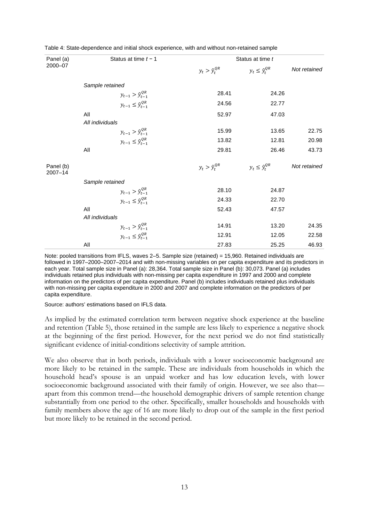| Panel (a)                | Status at time $t - 1$            |                        | Status at time t          |              |  |  |
|--------------------------|-----------------------------------|------------------------|---------------------------|--------------|--|--|
| 2000-07                  |                                   | $y_t > \hat{y}_t^{QR}$ | $y_t \leq \hat{y}_t^{QR}$ | Not retained |  |  |
|                          | Sample retained                   |                        |                           |              |  |  |
|                          | $y_{t-1} > \hat{y}_{t-1}^{QR}$    | 28.41                  | 24.26                     |              |  |  |
|                          | $y_{t-1} \leq \hat{y}_{t-1}^{QR}$ | 24.56                  | 22.77                     |              |  |  |
|                          | All                               | 52.97                  | 47.03                     |              |  |  |
|                          | All individuals                   |                        |                           |              |  |  |
|                          | $y_{t-1} > \hat{y}_{t-1}^{QR}$    | 15.99                  | 13.65                     | 22.75        |  |  |
|                          | $y_{t-1} \leq \hat{y}_{t-1}^{QR}$ | 13.82                  | 12.81                     | 20.98        |  |  |
|                          | All                               | 29.81                  | 26.46                     | 43.73        |  |  |
| Panel (b)<br>$2007 - 14$ |                                   | $y_t > \hat{y}_t^{QR}$ | $y_t \leq \hat{y}_t^{QR}$ | Not retained |  |  |
|                          | Sample retained                   |                        |                           |              |  |  |
|                          | $y_{t-1} > \hat{y}_{t-1}^{QR}$    | 28.10                  | 24.87                     |              |  |  |
|                          | $y_{t-1} \leq \hat{y}_{t-1}^{QR}$ | 24.33                  | 22.70                     |              |  |  |
|                          | All                               | 52.43                  | 47.57                     |              |  |  |
|                          | All individuals                   |                        |                           |              |  |  |
|                          | $y_{t-1} > \hat{y}_{t-1}^{QR}$    | 14.91                  | 13.20                     | 24.35        |  |  |
|                          | $y_{t-1} \leq \hat{y}_{t-1}^{QR}$ | 12.91                  | 12.05                     | 22.58        |  |  |
|                          | All                               | 27.83                  | 25.25                     | 46.93        |  |  |

Table 4: State-dependence and initial shock experience, with and without non-retained sample

Note: pooled transitions from IFLS, waves 2–5. Sample size (retained) = 15,960. Retained individuals are followed in 1997–2000–2007–2014 and with non-missing variables on per capita expenditure and its predictors in each year. Total sample size in Panel (a): 28,364. Total sample size in Panel (b): 30,073. Panel (a) includes individuals retained plus individuals with non-missing per capita expenditure in 1997 and 2000 and complete information on the predictors of per capita expenditure. Panel (b) includes individuals retained plus individuals with non-missing per capita expenditure in 2000 and 2007 and complete information on the predictors of per capita expenditure.

Source: authors' estimations based on IFLS data.

As implied by the estimated correlation term between negative shock experience at the baseline and retention (Table 5), those retained in the sample are less likely to experience a negative shock at the beginning of the first period. However, for the next period we do not find statistically significant evidence of initial-conditions selectivity of sample attrition.

We also observe that in both periods, individuals with a lower socioeconomic background are more likely to be retained in the sample. These are individuals from households in which the household head's spouse is an unpaid worker and has low education levels, with lower socioeconomic background associated with their family of origin. However, we see also that apart from this common trend—the household demographic drivers of sample retention change substantially from one period to the other. Specifically, smaller households and households with family members above the age of 16 are more likely to drop out of the sample in the first period but more likely to be retained in the second period.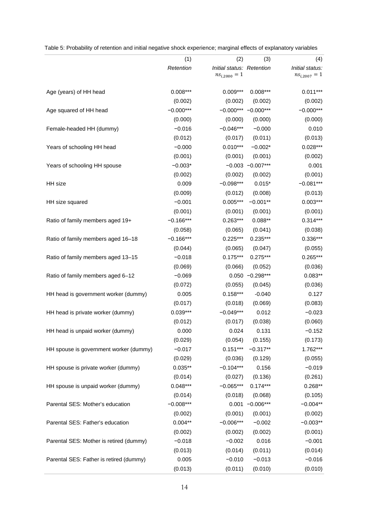Table 5: Probability of retention and initial negative shock experience; marginal effects of explanatory variables

|                                         | (1)         | (2)                                            | (3)                   | (4)                                  |
|-----------------------------------------|-------------|------------------------------------------------|-----------------------|--------------------------------------|
|                                         | Retention   | Initial status: Retention<br>$ns_{i,2000} = 1$ |                       | Initial status:<br>$ns_{i,2007} = 1$ |
| Age (years) of HH head                  | $0.008***$  | $0.009***$                                     | $0.008***$            | $0.011***$                           |
|                                         | (0.002)     | (0.002)                                        | (0.002)               | (0.002)                              |
| Age squared of HH head                  | $-0.000***$ |                                                | $-0.000***$ -0.000*** | $-0.000***$                          |
|                                         | (0.000)     | (0.000)                                        | (0.000)               | (0.000)                              |
| Female-headed HH (dummy)                | $-0.016$    | $-0.046***$                                    | $-0.000$              | 0.010                                |
|                                         | (0.012)     | (0.017)                                        | (0.011)               | (0.013)                              |
| Years of schooling HH head              | $-0.000$    | $0.010***$                                     | $-0.002*$             | $0.028***$                           |
|                                         | (0.001)     | (0.001)                                        | (0.001)               | (0.002)                              |
| Years of schooling HH spouse            | $-0.003*$   |                                                | $-0.003 -0.007***$    | 0.001                                |
|                                         | (0.002)     | (0.002)                                        | (0.002)               | (0.001)                              |
| HH size                                 | 0.009       | $-0.098***$                                    | $0.015*$              | $-0.081***$                          |
|                                         | (0.009)     | (0.012)                                        | (0.008)               | (0.013)                              |
| HH size squared                         | $-0.001$    | $0.005***$                                     | $-0.001**$            | $0.003***$                           |
|                                         | (0.001)     | (0.001)                                        | (0.001)               | (0.001)                              |
| Ratio of family members aged 19+        | $-0.166***$ | $0.263***$                                     | $0.088**$             | $0.314***$                           |
|                                         | (0.058)     | (0.065)                                        | (0.041)               | (0.038)                              |
| Ratio of family members aged 16-18      | $-0.166***$ | $0.225***$                                     | $0.235***$            | $0.336***$                           |
|                                         | (0.044)     | (0.065)                                        | (0.047)               | (0.055)                              |
| Ratio of family members aged 13-15      | $-0.018$    | $0.175***$                                     | $0.275***$            | $0.265***$                           |
|                                         | (0.069)     | (0.066)                                        | (0.052)               | (0.036)                              |
| Ratio of family members aged 6-12       | $-0.069$    |                                                | $0.050 -0.298***$     | $0.083**$                            |
|                                         | (0.072)     | (0.055)                                        | (0.045)               | (0.036)                              |
| HH head is government worker (dummy)    | 0.005       | $0.158***$                                     | $-0.040$              | 0.127                                |
|                                         | (0.017)     | (0.018)                                        | (0.069)               | (0.083)                              |
| HH head is private worker (dummy)       | $0.039***$  | $-0.049***$                                    | 0.012                 | $-0.023$                             |
|                                         | (0.012)     | (0.017)                                        | (0.038)               | (0.060)                              |
| HH head is unpaid worker (dummy)        | 0.000       | 0.024                                          | 0.131                 | $-0.152$                             |
|                                         | (0.029)     | (0.054)                                        | (0.155)               | (0.173)                              |
| HH spouse is government worker (dummy)  | $-0.017$    | $0.151***$                                     | $-0.317**$            | 1.762***                             |
|                                         | (0.029)     | (0.036)                                        | (0.129)               | (0.055)                              |
| HH spouse is private worker (dummy)     | $0.035***$  | $-0.104***$                                    | 0.156                 | $-0.019$                             |
|                                         | (0.014)     | (0.027)                                        | (0.136)               | (0.261)                              |
| HH spouse is unpaid worker (dummy)      | $0.048***$  | $-0.065***$                                    | $0.174***$            | $0.268**$                            |
|                                         | (0.014)     | (0.018)                                        | (0.068)               | (0.105)                              |
| Parental SES: Mother's education        | $-0.008***$ |                                                | $0.001 - 0.006***$    | $-0.004**$                           |
|                                         | (0.002)     | (0.001)                                        | (0.001)               | (0.002)                              |
| Parental SES: Father's education        | $0.004**$   | $-0.006***$                                    | $-0.002$              | $-0.003**$                           |
|                                         | (0.002)     | (0.002)                                        | (0.002)               | (0.001)                              |
| Parental SES: Mother is retired (dummy) | $-0.018$    | $-0.002$                                       | 0.016                 | $-0.001$                             |
|                                         | (0.013)     | (0.014)                                        | (0.011)               | (0.014)                              |
| Parental SES: Father is retired (dummy) | 0.005       | $-0.010$                                       | $-0.013$              | $-0.016$                             |
|                                         | (0.013)     | (0.011)                                        | (0.010)               | (0.010)                              |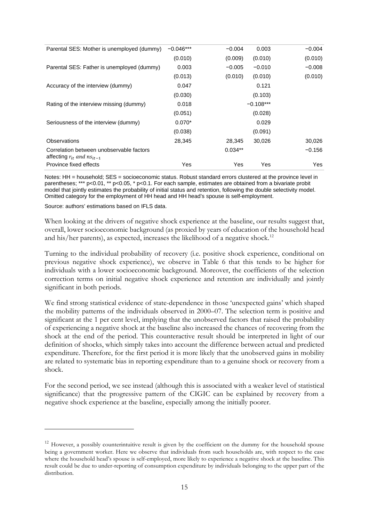| Parental SES: Mother is unemployed (dummy)                                     | $-0.046***$ | $-0.004$  | 0.003       | $-0.004$ |
|--------------------------------------------------------------------------------|-------------|-----------|-------------|----------|
|                                                                                | (0.010)     | (0.009)   | (0.010)     | (0.010)  |
| Parental SES: Father is unemployed (dummy)                                     | 0.003       | $-0.005$  | $-0.010$    | $-0.008$ |
|                                                                                | (0.013)     | (0.010)   | (0.010)     | (0.010)  |
| Accuracy of the interview (dummy)                                              | 0.047       |           | 0.121       |          |
|                                                                                | (0.030)     |           | (0.103)     |          |
| Rating of the interview missing (dummy)                                        | 0.018       |           | $-0.108***$ |          |
|                                                                                | (0.051)     |           | (0.028)     |          |
| Seriousness of the interview (dummy)                                           | $0.070*$    |           | 0.029       |          |
|                                                                                | (0.038)     |           | (0.091)     |          |
| Observations                                                                   | 28,345      | 28,345    | 30,026      | 30,026   |
| Correlation between unobservable factors<br>affecting $r_{it}$ and $ns_{it-1}$ |             | $0.034**$ |             | $-0.156$ |
| Province fixed effects                                                         | Yes         | Yes       | Yes         | Yes      |

Notes: HH = household; SES = socioeconomic status. Robust standard errors clustered at the province level in parentheses; \*\*\* p<0.01, \*\* p<0.05, \* p<0.1. For each sample, estimates are obtained from a bivariate probit model that jointly estimates the probability of initial status and retention, following the double selectivity model. Omitted category for the employment of HH head and HH head's spouse is self-employment.

Source: authors' estimations based on IFLS data.

When looking at the drivers of negative shock experience at the baseline, our results suggest that, overall, lower socioeconomic background (as proxied by years of education of the household head and his/her parents), as expected, increases the likelihood of a negative shock.<sup>[12](#page-16-0)</sup>

Turning to the individual probability of recovery (i.e. positive shock experience, conditional on previous negative shock experience), we observe in Table 6 that this tends to be higher for individuals with a lower socioeconomic background. Moreover, the coefficients of the selection correction terms on initial negative shock experience and retention are individually and jointly significant in both periods.

We find strong statistical evidence of state-dependence in those 'unexpected gains' which shaped the mobility patterns of the individuals observed in 2000–07. The selection term is positive and significant at the 1 per cent level, implying that the unobserved factors that raised the probability of experiencing a negative shock at the baseline also increased the chances of recovering from the shock at the end of the period. This counteractive result should be interpreted in light of our definition of shocks, which simply takes into account the difference between actual and predicted expenditure. Therefore, for the first period it is more likely that the unobserved gains in mobility are related to systematic bias in reporting expenditure than to a genuine shock or recovery from a shock.

For the second period, we see instead (although this is associated with a weaker level of statistical significance) that the progressive pattern of the CIGIC can be explained by recovery from a negative shock experience at the baseline, especially among the initially poorer.

<span id="page-16-0"></span><sup>&</sup>lt;sup>12</sup> However, a possibly counterintuitive result is given by the coefficient on the dummy for the household spouse being a government worker. Here we observe that individuals from such households are, with respect to the case where the household head's spouse is self-employed, more likely to experience a negative shock at the baseline. This result could be due to under-reporting of consumption expenditure by individuals belonging to the upper part of the distribution.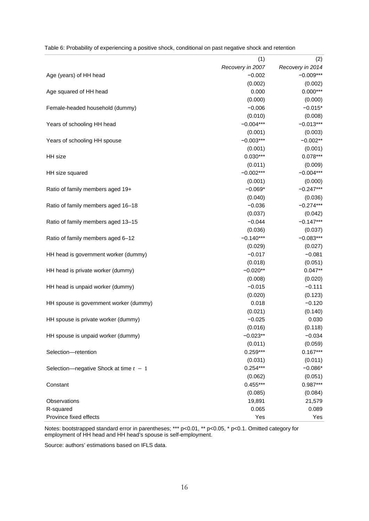|                                          | (1)              | (2)              |
|------------------------------------------|------------------|------------------|
|                                          | Recovery in 2007 | Recovery in 2014 |
| Age (years) of HH head                   | $-0.002$         | $-0.009***$      |
|                                          | (0.002)          | (0.002)          |
| Age squared of HH head                   | 0.000            | $0.000***$       |
|                                          | (0.000)          | (0.000)          |
| Female-headed household (dummy)          | $-0.006$         | $-0.015*$        |
|                                          | (0.010)          | (0.008)          |
| Years of schooling HH head               | $-0.004***$      | $-0.013***$      |
|                                          | (0.001)          | (0.003)          |
| Years of schooling HH spouse             | $-0.003***$      | $-0.002**$       |
|                                          | (0.001)          | (0.001)          |
| HH size                                  | $0.030***$       | $0.078***$       |
|                                          | (0.011)          | (0.009)          |
| HH size squared                          | $-0.002***$      | $-0.004***$      |
|                                          | (0.001)          | (0.000)          |
| Ratio of family members aged 19+         | $-0.069*$        | $-0.247***$      |
|                                          | (0.040)          | (0.036)          |
| Ratio of family members aged 16-18       | $-0.036$         | $-0.274***$      |
|                                          | (0.037)          | (0.042)          |
| Ratio of family members aged 13-15       | $-0.044$         | $-0.147***$      |
|                                          | (0.036)          | (0.037)          |
| Ratio of family members aged 6-12        | $-0.140***$      | $-0.083***$      |
|                                          | (0.029)          | (0.027)          |
| HH head is government worker (dummy)     | $-0.017$         | $-0.081$         |
|                                          | (0.018)          | (0.051)          |
| HH head is private worker (dummy)        | $-0.020**$       | $0.047**$        |
|                                          | (0.008)          | (0.020)          |
| HH head is unpaid worker (dummy)         | $-0.015$         | $-0.111$         |
|                                          | (0.020)          | (0.123)          |
| HH spouse is government worker (dummy)   | 0.018            | $-0.120$         |
|                                          | (0.021)          | (0.140)          |
| HH spouse is private worker (dummy)      | $-0.025$         | 0.030            |
|                                          | (0.016)          | (0.118)          |
| HH spouse is unpaid worker (dummy)       | $-0.023**$       | $-0.034$         |
|                                          | (0.011)          | (0.059)          |
| Selection-retention                      | $0.259***$       | $0.167***$       |
|                                          | (0.031)          | (0.011)          |
| Selection-negative Shock at time $t - 1$ | $0.254***$       | $-0.086*$        |
|                                          | (0.062)          | (0.051)          |
| Constant                                 | $0.455***$       | $0.987***$       |
|                                          | (0.085)          | (0.084)          |
| Observations                             | 19,891           | 21,579           |
| R-squared                                | 0.065            | 0.089            |
| Province fixed effects                   | Yes              | Yes              |

Table 6: Probability of experiencing a positive shock, conditional on past negative shock and retention

Notes: bootstrapped standard error in parentheses; \*\*\* p<0.01, \*\* p<0.05, \* p<0.1. Omitted category for employment of HH head and HH head's spouse is self-employment.

Source: authors' estimations based on IFLS data.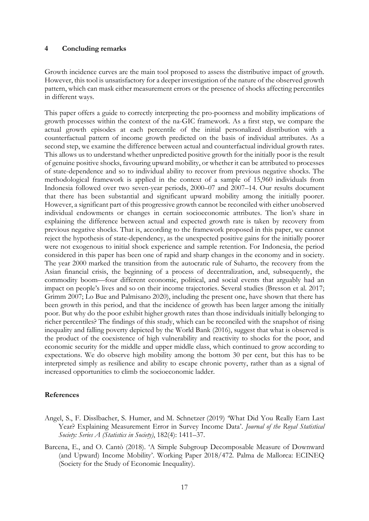#### **4 Concluding remarks**

Growth incidence curves are the main tool proposed to assess the distributive impact of growth. However, this tool is unsatisfactory for a deeper investigation of the nature of the observed growth pattern, which can mask either measurement errors or the presence of shocks affecting percentiles in different ways.

This paper offers a guide to correctly interpreting the pro-poorness and mobility implications of growth processes within the context of the na-GIC framework. As a first step, we compare the actual growth episodes at each percentile of the initial personalized distribution with a counterfactual pattern of income growth predicted on the basis of individual attributes. As a second step, we examine the difference between actual and counterfactual individual growth rates. This allows us to understand whether unpredicted positive growth for the initially poor is the result of genuine positive shocks, favouring upward mobility, or whether it can be attributed to processes of state-dependence and so to individual ability to recover from previous negative shocks. The methodological framework is applied in the context of a sample of 15,960 individuals from Indonesia followed over two seven-year periods, 2000–07 and 2007–14. Our results document that there has been substantial and significant upward mobility among the initially poorer. However, a significant part of this progressive growth cannot be reconciled with either unobserved individual endowments or changes in certain socioeconomic attributes. The lion's share in explaining the difference between actual and expected growth rate is taken by recovery from previous negative shocks. That is, according to the framework proposed in this paper, we cannot reject the hypothesis of state-dependency, as the unexpected positive gains for the initially poorer were not exogenous to initial shock experience and sample retention. For Indonesia, the period considered in this paper has been one of rapid and sharp changes in the economy and in society. The year 2000 marked the transition from the autocratic rule of Suharto, the recovery from the Asian financial crisis, the beginning of a process of decentralization, and, subsequently, the commodity boom—four different economic, political, and social events that arguably had an impact on people's lives and so on their income trajectories. Several studies (Bresson et al. 2017; Grimm 2007; Lo Bue and Palmisano 2020), including the present one, have shown that there has been growth in this period, and that the incidence of growth has been larger among the initially poor. But why do the poor exhibit higher growth rates than those individuals initially belonging to richer percentiles? The findings of this study, which can be reconciled with the snapshot of rising inequality and falling poverty depicted by the World Bank (2016), suggest that what is observed is the product of the coexistence of high vulnerability and reactivity to shocks for the poor, and economic security for the middle and upper middle class, which continued to grow according to expectations. We do observe high mobility among the bottom 30 per cent, but this has to be interpreted simply as resilience and ability to escape chronic poverty, rather than as a signal of increased opportunities to climb the socioeconomic ladder.

### **References**

- Angel, S., F. Disslbacher, S. Humer, and M. Schnetzer (2019) 'What Did You Really Earn Last Year? Explaining Measurement Error in Survey Income Data'. *Journal of the Royal Statistical Society: Series A (Statistics in Society)*, 182(4): 1411–37.
- Barcena, E., and O. Cantò (2018). 'A Simple Subgroup Decomposable Measure of Downward (and Upward) Income Mobility'. Working Paper 2018/472. Palma de Mallorca: ECINEQ (Society for the Study of Economic Inequality).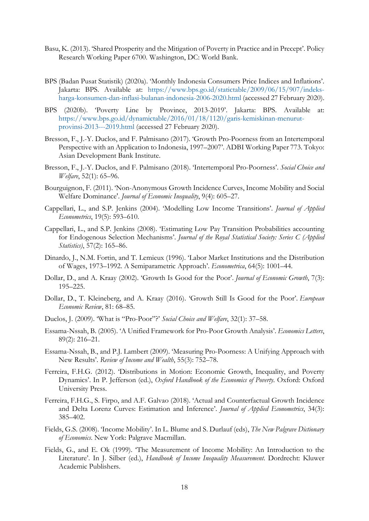- Basu, K. (2013). 'Shared Prosperity and the Mitigation of Poverty in Practice and in Precept'. Policy Research Working Paper 6700. Washington, DC: World Bank.
- BPS (Badan Pusat Statistik) (2020a). 'Monthly Indonesia Consumers Price Indices and Inflations'. Jakarta: BPS. Available at: [https://www.bps.go.id/statictable/2009/06/15/907/indeks](https://www.bps.go.id/statictable/2009/06/15/907/indeks-harga-konsumen-dan-inflasi-bulanan-indonesia-2006-2020.html)[harga-konsumen-dan-inflasi-bulanan-indonesia-2006-2020.html](https://www.bps.go.id/statictable/2009/06/15/907/indeks-harga-konsumen-dan-inflasi-bulanan-indonesia-2006-2020.html) (accessed 27 February 2020).
- BPS (2020b). 'Poverty Line by Province, 2013-2019'. Jakarta: BPS. Available at: [https://www.bps.go.id/dynamictable/2016/01/18/1120/garis-kemiskinan-menurut](https://www.bps.go.id/dynamictable/2016/01/18/1120/garis-kemiskinan-menurut-provinsi-2013---2019.html)[provinsi-2013---2019.html](https://www.bps.go.id/dynamictable/2016/01/18/1120/garis-kemiskinan-menurut-provinsi-2013---2019.html) (accessed 27 February 2020).
- Bresson, F., J.-Y. Duclos, and F. Palmisano (2017). 'Growth Pro-Poorness from an Intertemporal Perspective with an Application to Indonesia, 1997–2007'. ADBI Working Paper 773. Tokyo: Asian Development Bank Institute.
- Bresson, F., J.-Y. Duclos, and F. Palmisano (2018). 'Intertemporal Pro-Poorness'. *Social Choice and Welfare*, 52(1): 65–96.
- Bourguignon, F. (2011). 'Non-Anonymous Growth Incidence Curves, Income Mobility and Social Welfare Dominance'. *Journal of Economic Inequality*, 9(4): 605–27.
- Cappellari, L., and S.P. Jenkins (2004). 'Modelling Low Income Transitions'. *Journal of Applied Econometrics*, 19(5): 593–610.
- Cappellari, L., and S.P. Jenkins (2008). 'Estimating Low Pay Transition Probabilities accounting for Endogenous Selection Mechanisms'. *Journal of the Royal Statistical Society: Series C (Applied Statistics)*, 57(2): 165–86.
- Dinardo, J., N.M. Fortin, and T. Lemieux (1996). 'Labor Market Institutions and the Distribution of Wages, 1973–1992. A Semiparametric Approach'. *Econometrica*, 64(5): 1001–44.
- Dollar, D., and A. Kraay (2002). 'Growth Is Good for the Poor'. *Journal of Economic Growth*, 7(3): 195–225.
- Dollar, D., T. Kleineberg, and A. Kraay (2016). 'Growth Still Is Good for the Poor'. *European Economic Review*, 81: 68–85.
- Duclos, J. (2009). 'What is "Pro-Poor"?' *Social Choice and Welfare*, 32(1): 37–58.
- Essama-Nssah, B. (2005). 'A Unified Framework for Pro-Poor Growth Analysis'. *Economics Letters*, 89(2): 216–21.
- Essama-Nssah, B., and P.J. Lambert (2009). 'Measuring Pro-Poorness: A Unifying Approach with New Results'. *Review of Income and Wealth*, 55(3): 752–78.
- Ferreira, F.H.G. (2012). 'Distributions in Motion: Economic Growth, Inequality, and Poverty Dynamics'. In P. Jefferson (ed.), *Oxford Handbook of the Economics of Poverty*. Oxford: Oxford University Press.
- Ferreira, F.H.G., S. Firpo, and A.F. Galvao (2018). 'Actual and Counterfactual Growth Incidence and Delta Lorenz Curves: Estimation and Inference'. *Journal of Applied Econometrics*, 34(3): 385–402.
- Fields, G.S. (2008). 'Income Mobility'. In L. Blume and S. Durlauf (eds), *The New Palgrave Dictionary of Economics*. New York: Palgrave Macmillan.
- Fields, G., and E. Ok (1999). 'The Measurement of Income Mobility: An Introduction to the Literature'. In J. Silber (ed.), *Handbook of Income Inequality Measurement*. Dordrecht: Kluwer Academic Publishers.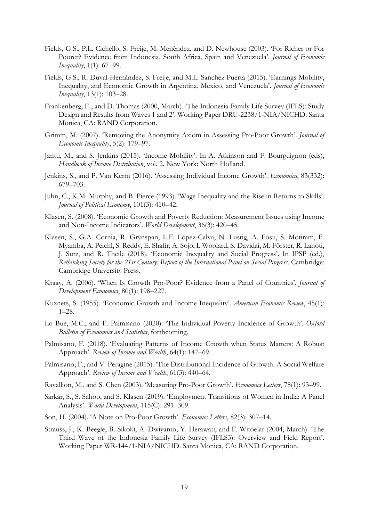- Fields, G.S., P.L. Cichello, S. Freije, M. Menèndez, and D. Newhouse (2003). 'For Richer or For Poorer? Evidence from Indonesia, South Africa, Spain and Venezuela'. *Journal of Economic Inequality*, 1(1): 67–99.
- Fields, G.S., R. Duval-Hernández, S. Freije, and M.L. Sanchez Puerta (2015). 'Earnings Mobility, Inequality, and Economic Growth in Argentina, Mexico, and Venezuela'. *Journal of Economic Inequality*, 13(1): 103–28.
- Frankenberg, E., and D. Thomas (2000, March). 'The Indonesia Family Life Survey (IFLS): Study Design and Results from Waves 1 and 2'. Working Paper DRU-2238/1-NIA/NICHD. Santa Monica, CA: RAND Corporation.
- Grimm, M. (2007). 'Removing the Anonymity Axiom in Assessing Pro-Poor Growth'. *Journal of Economic Inequality*, 5(2): 179–97.
- Jantti, M., and S. Jenkins (2015). 'Income Mobility'. In A. Atkinson and F. Bourguignon (eds), *Handbook of Income Distribution*, vol. 2. New York: North Holland.
- Jenkins, S., and P. Van Kerm (2016). 'Assessing Individual Income Growth'. *Economica*, 83(332): 679–703.
- Juhn, C., K.M. Murphy, and B. Pierce (1993). 'Wage Inequality and the Rise in Returns to Skills'. *Journal of Political Economy*, 101(3): 410–42.
- Klasen, S. (2008). 'Economic Growth and Poverty Reduction: Measurement Issues using Income and Non-Income Indicators'. *World Development*, 36(3): 420–45.
- Klasen, S., G.A. Cornia, R. Grynspan, L.F. López-Calva, N. Lustig, A. Fosu, S. Motiram, F. Myamba, A. Peichl, S. Reddy, E. Shafir, A. Sojo, I. Woolard, S. Davidai, M. Förster, R. Lahoti, J. Sutz, and R. Theile (2018). 'Economic Inequality and Social Progress'. In IPSP (ed.), *Rethinking Society for the 21st Century: Report of the International Panel on Social Progress*. Cambridge: Cambridge University Press.
- Kraay, A. (2006). 'When Is Growth Pro-Poor? Evidence from a Panel of Countries'. *Journal of Development Economics*, 80(1): 198–227.
- Kuznets, S. (1955). 'Economic Growth and Income Inequality'. *American Economic Review*, 45(1): 1–28.
- Lo Bue, M.C., and F. Palmisano (2020). 'The Individual Poverty Incidence of Growth'. *Oxford Bulletin of Economics and Statistics*, forthcoming.
- Palmisano, F. (2018). 'Evaluating Patterns of Income Growth when Status Matters: A Robust Approach'. *Review of Income and Wealth*, 64(1): 147–69.
- Palmisano, F., and V. Peragine (2015). 'The Distributional Incidence of Growth: A Social Welfare Approach'. *Review of Income and Wealth*, 61(3): 440–64.
- Ravallion, M., and S. Chen (2003). 'Measuring Pro-Poor Growth'. *Economics Letters*, 78(1): 93–99.
- Sarkar, S., S. Sahoo, and S. Klasen (2019). 'Employment Transitions of Women in India: A Panel Analysis'. *World Development*, 115(C): 291–309.
- Son, H. (2004). 'A Note on Pro-Poor Growth'. *Economics Letters*, 82(3): 307–14.
- Strauss, J., K. Beegle, B. Sikoki, A. Dwiyanto, Y. Herawati, and F. Witoelar (2004, March). 'The Third Wave of the Indonesia Family Life Survey (IFLS3): Overview and Field Report'. Working Paper WR-144/1-NIA/NICHD. Santa Monica, CA: RAND Corporation.